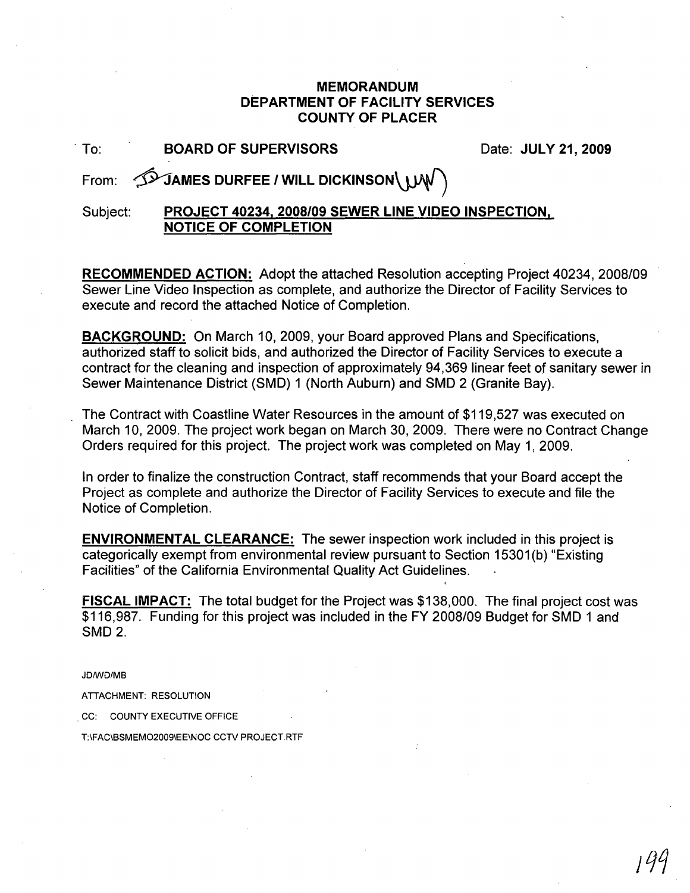#### **MEMORANDUM DEPARTMENT OF FACILITY SERVICES COUNTY OF PLACER**

| To: |  |  | <b>BOARD OF SUPERVISOR</b> |  |
|-----|--|--|----------------------------|--|
|     |  |  |                            |  |
|     |  |  |                            |  |
|     |  |  |                            |  |

. To: **BOARD OF SUPERVISORS** Date: **JULY 21,2009**

From:  $\widehat{\mathcal{D}}$ JAMES DURFEE / WILL DICKINSON\ WW

Subject: **PROJECT 40234. 2008/09 SEWER LINE VIDEO INSPECTION. NOTICE OF COMPLETION**

**RECOMMENDED ACTION:** Adopt the attached Resolution accepting Project 40234, 2008/09 Sewer Line Video Inspection as complete, and authorize the Director of Facility Services to execute and record the attached Notice of Completion.

**BACKGROUND:** On March 10, 2009, your Board approved Plans and Specifications, authorized staff to solicit bids, and authorized the Director of Facility Services to execute a contract for the cleaning and inspection of approximately 94,369 linear feet of sanitary sewer in Sewer Maintenance District (SMD) 1 (North Auburn) and SMD 2 (Granite Bay).

The Contract with Coastline Water Resources in the amount of \$119,527 was executed on March 10, 2009. The project work began on March 30, 2009. There were no Contract Change Orders required for this project. The project work was completed on May 1, 2009.

In order to finalize the construction Contract, staff recommends that your Board accept the Project as complete and authorize the Director of Facility Services to execute and file the Notice of Completion.

**ENVIRONMENTAL CLEARANCE:** The sewer inspection work included in this project is categorically exempt from environmental review pursuant to Section 15301 (b) "Existing Facilities" of the California Environmental Quality Act Guidelines.

**FISCAL IMPACT:** The total budget for the Project was \$138,000. The final project cost was \$116,987. Funding for this project was included in the FY 2008/09 Budget for SMD 1 and SMD2.

JDIWD/MB

ATIACHMENT: RESOLUTION

cc: COUNTY EXECUTIVE OFFICE

T:\FAC\BSMEM02009\EE\NOC CCTV PROJECT.RTF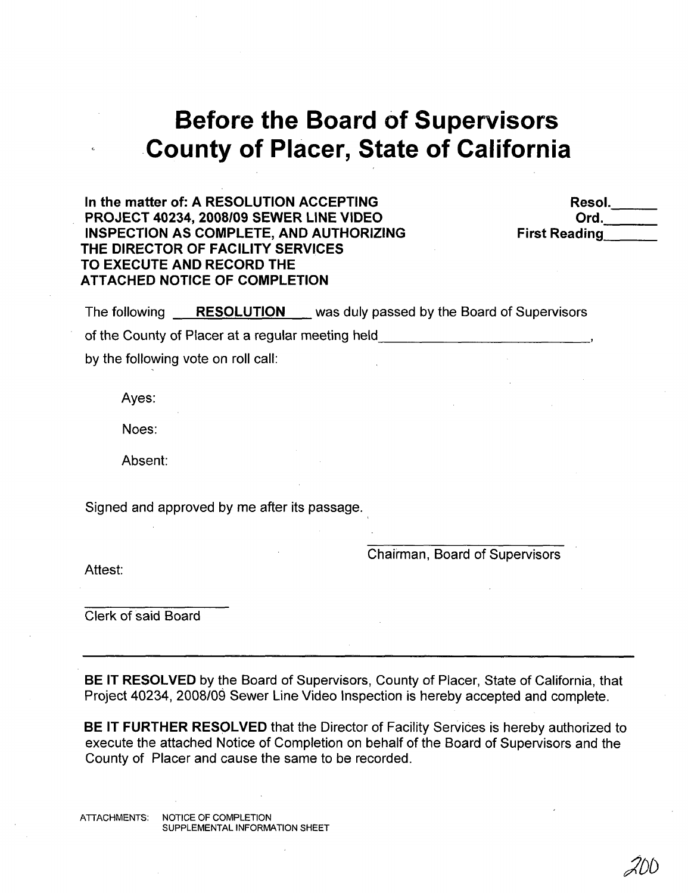# **Before the Board of Supervisors ,County of Placer, State of California**

**In the matter** of: **A RESOLUTION ACCEPTING PROJECT 40234, 2008/09 SEWER LINE VIDEO INSPECTION AS COMPLETE, AND AUTHORIZING THE DIRECTOR OF FACILITY SERVICES TO EXECUTE AND RECORD THE ATTACHED NOTICE OF COMPLETION**

Resol.  $Ord.$ **First Reading** 

The following **RESOLUTION** was duly passed by the Board of Supervisors

of the County of Placer at a regular meeting held

by the following vote on roll call:

Ayes:

Noes:

Absent:

Signed and approved by me after its passage.

Chairman, Board of Supervisors

Attest:

Clerk of said Board

**BE IT RESOLVED** by the Board of Supervisors, County of Placer, State of California, that Project 40234, 2008/09 Sewer Line Video Inspection is hereby accepted and complete.

**BE IT FURTHER RESOLVED** that the Director of Facility Services is hereby authorized to execute the attached Notice of Completion on behalf of the Board of Supervisors and the County of Placer and cause the same to be recorded.

ATTACHMENTS: NOTICE OF COMPLETION SUPPLEMENTAL INFORMATION SHEET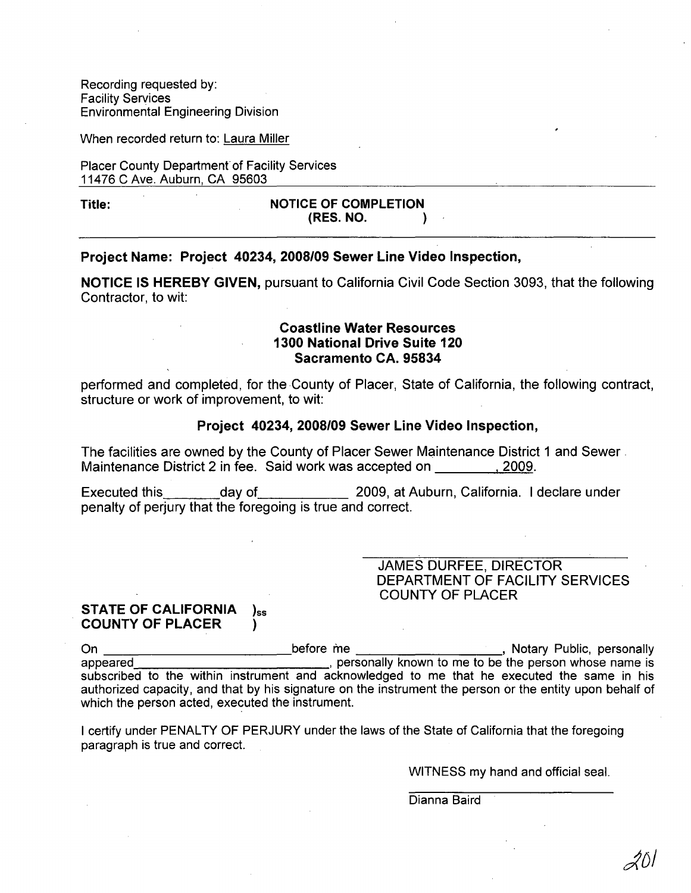Recording requested by: Facility Services Environmental Engineering Division

When recorded return to: Laura Miller

Placer County Department of Facility Services 11476 C Ave. Auburn, CA 95603

#### Title: NOTICE OF COMPLETION (RES. NO. )

#### Project Name: Project 40234, 2008/09 Sewer Line Video Inspection,

NOTICE IS HEREBY GIVEN, pursuant to California Civil Code Section 3093, that the following Contractor, to wit:

#### Coastline Water Resources 1300 National Drive Suite 120 Sacramento CA. 95834

performed and completed, for the County of Placer, State of California, the following contract, structure or work of improvement, to wit:

#### Project 40234, 2008/09 Sewer Line Video Inspection,

The facilities are owned by the County of Placer Sewer Maintenance District 1 and Sewer - Maintenance District 2 in fee. Said work was accepted on . 2009.

Executed this day of 2009, at Auburn, California. I declare under penalty of perjury that the foregoing is true and correct.

> JAMES DURFEE, DIRECTOR DEPARTMENT OF FACILITY SERVICES COUNTY OF PLACER

#### STATE OF CALIFORNIA )<sub>ss</sub> COUNTY OF PLACER )

On \_\_\_\_\_\_\_\_\_\_\_\_\_\_\_\_\_\_\_\_\_\_\_\_\_\_\_\_\_\_\_\_before me \_\_\_\_\_\_\_\_\_\_\_\_\_\_\_\_\_\_\_\_\_\_\_\_\_\_\_, Notary Public, personally appeared **I personally known** to me to be the person whose name is subscribed to the within instrument and acknowledged to me that he executed the same in his authorized capacity, and that by his signature on the instrument the person or the entity upon behalf of which the person acted, executed the instrument.

I certify under PENALTY OF PERJURY under the laws of the State of California that the foregoing paragraph is true and correct.

WITNESS my hand and official seal.

Dianna Baird